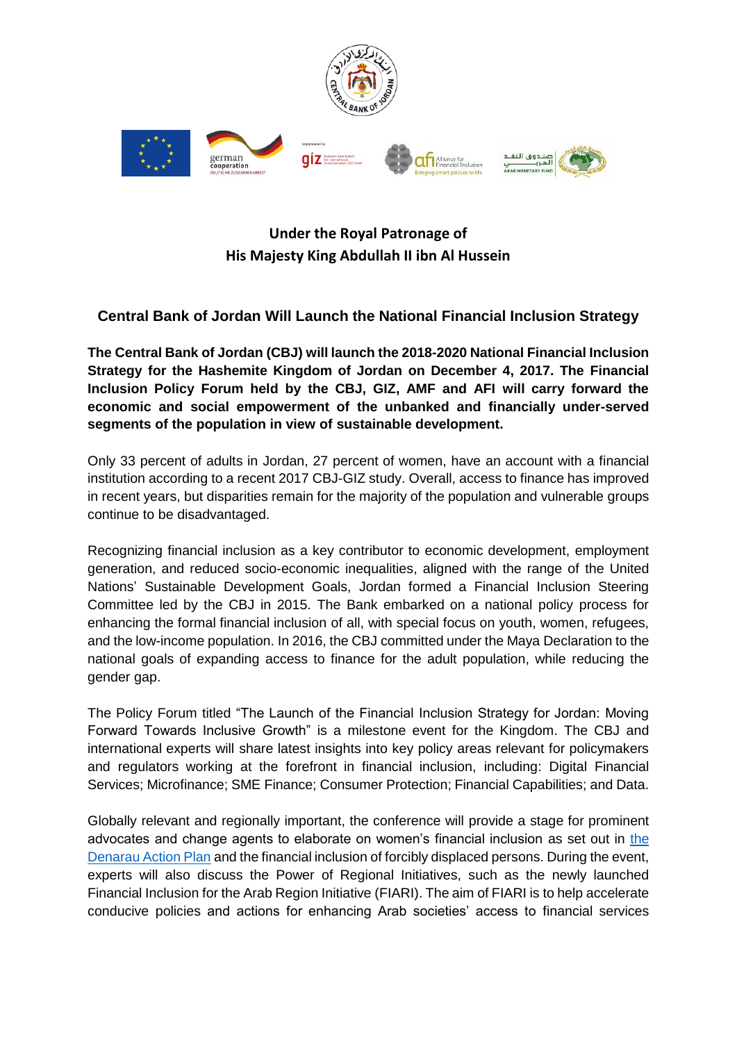

## **Under the Royal Patronage of His Majesty King Abdullah II ibn Al Hussein**

## **Central Bank of Jordan Will Launch the National Financial Inclusion Strategy**

**The Central Bank of Jordan (CBJ) will launch the 2018-2020 National Financial Inclusion Strategy for the Hashemite Kingdom of Jordan on December 4, 2017. The Financial Inclusion Policy Forum held by the CBJ, GIZ, AMF and AFI will carry forward the economic and social empowerment of the unbanked and financially under-served segments of the population in view of sustainable development.**

Only 33 percent of adults in Jordan, 27 percent of women, have an account with a financial institution according to a recent 2017 CBJ-GIZ study. Overall, access to finance has improved in recent years, but disparities remain for the majority of the population and vulnerable groups continue to be disadvantaged.

Recognizing financial inclusion as a key contributor to economic development, employment generation, and reduced socio-economic inequalities, aligned with the range of the United Nations' Sustainable Development Goals, Jordan formed a Financial Inclusion Steering Committee led by the CBJ in 2015. The Bank embarked on a national policy process for enhancing the formal financial inclusion of all, with special focus on youth, women, refugees, and the low-income population. In 2016, the CBJ committed under the Maya Declaration to the national goals of expanding access to finance for the adult population, while reducing the gender gap.

The Policy Forum titled "The Launch of the Financial Inclusion Strategy for Jordan: Moving Forward Towards Inclusive Growth" is a milestone event for the Kingdom. The CBJ and international experts will share latest insights into key policy areas relevant for policymakers and regulators working at the forefront in financial inclusion, including: Digital Financial Services; Microfinance; SME Finance; Consumer Protection; Financial Capabilities; and Data.

Globally relevant and regionally important, the conference will provide a stage for prominent advocates and change agents to elaborate on women's financial inclusion as set out in [the](https://www.afi-global.org/gender-women-financial-inclusion)  [Denarau Action Plan](https://www.afi-global.org/gender-women-financial-inclusion) and the financial inclusion of forcibly displaced persons. During the event, experts will also discuss the Power of Regional Initiatives, such as the newly launched Financial Inclusion for the Arab Region Initiative (FIARI). The aim of FIARI is to help accelerate conducive policies and actions for enhancing Arab societies' access to financial services